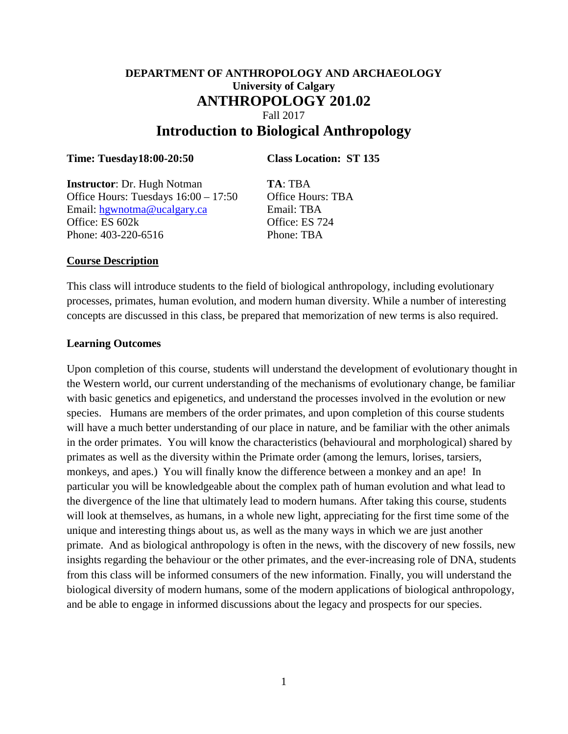# **DEPARTMENT OF ANTHROPOLOGY AND ARCHAEOLOGY University of Calgary ANTHROPOLOGY 201.02** Fall 2017 **Introduction to Biological Anthropology**

#### **Time: Tuesday18:00-20:50 Class Location: ST 135**

**Instructor**: Dr. Hugh Notman **TA**: TBA Office Hours: Tuesdays  $16:00 - 17:50$  Office Hours: TBA Email: [hgwnotma@ucalgary.ca](mailto:hgwnotma@ucalgary.ca) Email: TBA Office: ES 602k Office: ES 724 Phone: 403-220-6516 Phone: TBA

#### **Course Description**

This class will introduce students to the field of biological anthropology, including evolutionary processes, primates, human evolution, and modern human diversity. While a number of interesting concepts are discussed in this class, be prepared that memorization of new terms is also required.

#### **Learning Outcomes**

Upon completion of this course, students will understand the development of evolutionary thought in the Western world, our current understanding of the mechanisms of evolutionary change, be familiar with basic genetics and epigenetics, and understand the processes involved in the evolution or new species. Humans are members of the order primates, and upon completion of this course students will have a much better understanding of our place in nature, and be familiar with the other animals in the order primates. You will know the characteristics (behavioural and morphological) shared by primates as well as the diversity within the Primate order (among the lemurs, lorises, tarsiers, monkeys, and apes.) You will finally know the difference between a monkey and an ape! In particular you will be knowledgeable about the complex path of human evolution and what lead to the divergence of the line that ultimately lead to modern humans. After taking this course, students will look at themselves, as humans, in a whole new light, appreciating for the first time some of the unique and interesting things about us, as well as the many ways in which we are just another primate. And as biological anthropology is often in the news, with the discovery of new fossils, new insights regarding the behaviour or the other primates, and the ever-increasing role of DNA, students from this class will be informed consumers of the new information. Finally, you will understand the biological diversity of modern humans, some of the modern applications of biological anthropology, and be able to engage in informed discussions about the legacy and prospects for our species.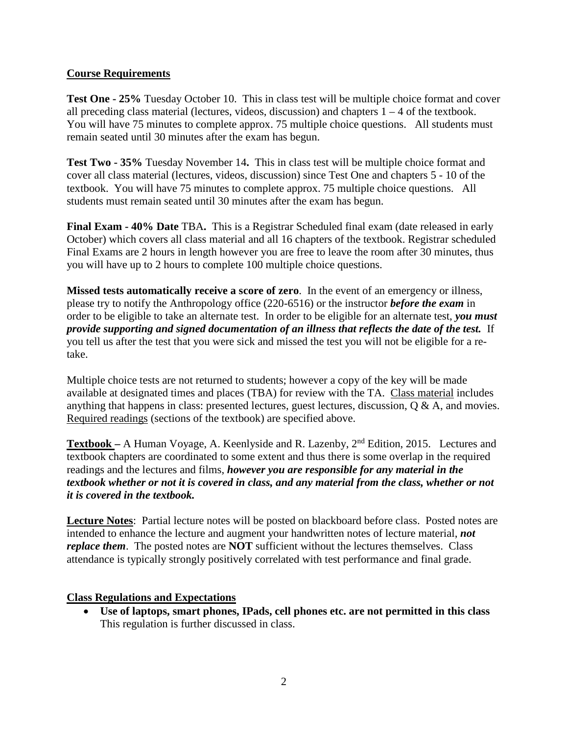## **Course Requirements**

**Test One - 25%** Tuesday October 10. This in class test will be multiple choice format and cover all preceding class material (lectures, videos, discussion) and chapters  $1 - 4$  of the textbook. You will have 75 minutes to complete approx. 75 multiple choice questions. All students must remain seated until 30 minutes after the exam has begun.

**Test Two - 35%** Tuesday November 14**.** This in class test will be multiple choice format and cover all class material (lectures, videos, discussion) since Test One and chapters 5 - 10 of the textbook. You will have 75 minutes to complete approx. 75 multiple choice questions. All students must remain seated until 30 minutes after the exam has begun.

**Final Exam - 40% Date** TBA**.** This is a Registrar Scheduled final exam (date released in early October) which covers all class material and all 16 chapters of the textbook. Registrar scheduled Final Exams are 2 hours in length however you are free to leave the room after 30 minutes, thus you will have up to 2 hours to complete 100 multiple choice questions.

**Missed tests automatically receive a score of zero**. In the event of an emergency or illness, please try to notify the Anthropology office (220-6516) or the instructor *before the exam* in order to be eligible to take an alternate test. In order to be eligible for an alternate test, *you must provide supporting and signed documentation of an illness that reflects the date of the test.* If you tell us after the test that you were sick and missed the test you will not be eligible for a retake.

Multiple choice tests are not returned to students; however a copy of the key will be made available at designated times and places (TBA) for review with the TA. Class material includes anything that happens in class: presented lectures, guest lectures, discussion, Q & A, and movies. Required readings (sections of the textbook) are specified above.

**Textbook –** A Human Voyage, A. Keenlyside and R. Lazenby, 2nd Edition, 2015. Lectures and textbook chapters are coordinated to some extent and thus there is some overlap in the required readings and the lectures and films, *however you are responsible for any material in the textbook whether or not it is covered in class, and any material from the class, whether or not it is covered in the textbook.*

**Lecture Notes**: Partial lecture notes will be posted on blackboard before class. Posted notes are intended to enhance the lecture and augment your handwritten notes of lecture material, *not replace them*. The posted notes are **NOT** sufficient without the lectures themselves. Class attendance is typically strongly positively correlated with test performance and final grade.

# **Class Regulations and Expectations**

• **Use of laptops, smart phones, IPads, cell phones etc. are not permitted in this class** This regulation is further discussed in class.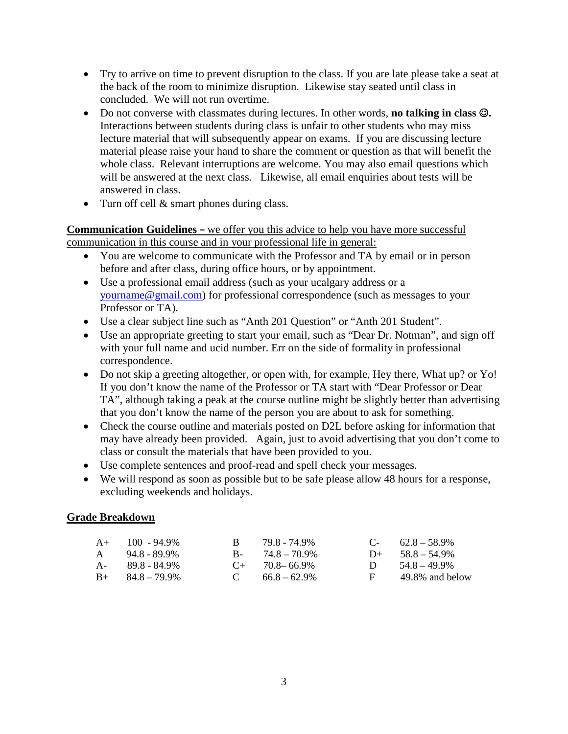- Try to arrive on time to prevent disruption to the class. If you are late please take a seat at the back of the room to minimize disruption. Likewise stay seated until class in concluded. We will not run overtime.
- Do not converse with classmates during lectures. In other words, **no talking in class .** Interactions between students during class is unfair to other students who may miss lecture material that will subsequently appear on exams. If you are discussing lecture material please raise your hand to share the comment or question as that will benefit the whole class. Relevant interruptions are welcome. You may also email questions which will be answered at the next class. Likewise, all email enquiries about tests will be answered in class.
- Turn off cell & smart phones during class.

#### **Communication Guidelines –** we offer you this advice to help you have more successful communication in this course and in your professional life in general:

- You are welcome to communicate with the Professor and TA by email or in person before and after class, during office hours, or by appointment.
- Use a professional email address (such as your ucalgary address or a [yourname@gmail.com\)](mailto:yourname@gmail.com) for professional correspondence (such as messages to your Professor or TA).
- Use a clear subject line such as "Anth 201 Question" or "Anth 201 Student".
- Use an appropriate greeting to start your email, such as "Dear Dr. Notman", and sign off with your full name and ucid number. Err on the side of formality in professional correspondence.
- Do not skip a greeting altogether, or open with, for example, Hey there, What up? or Yo! If you don't know the name of the Professor or TA start with "Dear Professor or Dear TA", although taking a peak at the course outline might be slightly better than advertising that you don't know the name of the person you are about to ask for something.
- Check the course outline and materials posted on D2L before asking for information that may have already been provided. Again, just to avoid advertising that you don't come to class or consult the materials that have been provided to you.
- Use complete sentences and proof-read and spell check your messages.
- We will respond as soon as possible but to be safe please allow 48 hours for a response, excluding weekends and holidays.

# **Grade Breakdown**

| $A+$ 100 - 94.9%<br>$A = 94.8 - 89.9\%$ | R.           | 79.8 - 74.9%<br>$B - 74.8 - 70.9\%$ | $D+$         | $C-$ 62.8 – 58.9%                  |
|-----------------------------------------|--------------|-------------------------------------|--------------|------------------------------------|
| A- 89.8 - 84.9%                         |              | $C_{+}$ 70.8–66.9%                  | $\mathbf{D}$ | $58.8 - 54.9\%$<br>$54.8 - 49.9\%$ |
| $B_{+}$ $84.8 - 79.9\%$                 | $\mathbf{C}$ | $66.8 - 62.9\%$                     | $F =$        | 49.8% and below                    |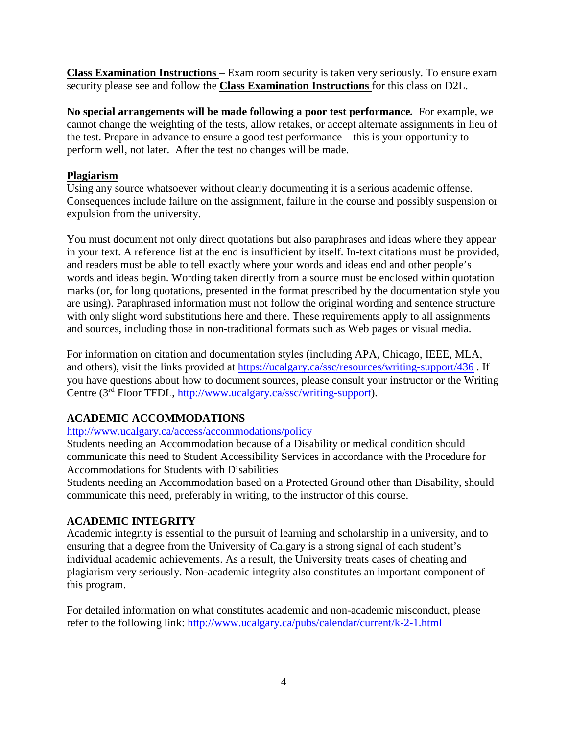**Class Examination Instructions** – Exam room security is taken very seriously. To ensure exam security please see and follow the **Class Examination Instructions** for this class on D2L.

**No special arrangements will be made following a poor test performance***.* For example, we cannot change the weighting of the tests, allow retakes, or accept alternate assignments in lieu of the test. Prepare in advance to ensure a good test performance – this is your opportunity to perform well, not later. After the test no changes will be made.

### **Plagiarism**

Using any source whatsoever without clearly documenting it is a serious academic offense. Consequences include failure on the assignment, failure in the course and possibly suspension or expulsion from the university.

You must document not only direct quotations but also paraphrases and ideas where they appear in your text. A reference list at the end is insufficient by itself. In-text citations must be provided, and readers must be able to tell exactly where your words and ideas end and other people's words and ideas begin. Wording taken directly from a source must be enclosed within quotation marks (or, for long quotations, presented in the format prescribed by the documentation style you are using). Paraphrased information must not follow the original wording and sentence structure with only slight word substitutions here and there. These requirements apply to all assignments and sources, including those in non-traditional formats such as Web pages or visual media.

For information on citation and documentation styles (including APA, Chicago, IEEE, MLA, and others), visit the links provided at<https://ucalgary.ca/ssc/resources/writing-support/436> . If you have questions about how to document sources, please consult your instructor or the Writing Centre (3<sup>rd</sup> Floor TFDL, [http://www.ucalgary.ca/ssc/writing-support\)](http://www.ucalgary.ca/ssc/writing-support).

# **ACADEMIC ACCOMMODATIONS**

#### <http://www.ucalgary.ca/access/accommodations/policy>

Students needing an Accommodation because of a Disability or medical condition should communicate this need to Student Accessibility Services in accordance with the Procedure for Accommodations for Students with Disabilities

Students needing an Accommodation based on a Protected Ground other than Disability, should communicate this need, preferably in writing, to the instructor of this course.

# **ACADEMIC INTEGRITY**

Academic integrity is essential to the pursuit of learning and scholarship in a university, and to ensuring that a degree from the University of Calgary is a strong signal of each student's individual academic achievements. As a result, the University treats cases of cheating and plagiarism very seriously. Non-academic integrity also constitutes an important component of this program.

For detailed information on what constitutes academic and non-academic misconduct, please refer to the following link:<http://www.ucalgary.ca/pubs/calendar/current/k-2-1.html>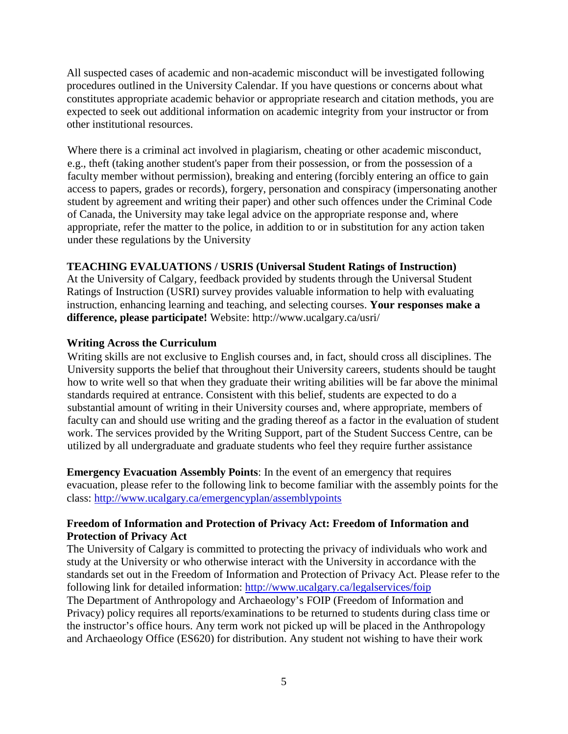All suspected cases of academic and non-academic misconduct will be investigated following procedures outlined in the University Calendar. If you have questions or concerns about what constitutes appropriate academic behavior or appropriate research and citation methods, you are expected to seek out additional information on academic integrity from your instructor or from other institutional resources.

Where there is a criminal act involved in plagiarism, cheating or other academic misconduct, e.g., theft (taking another student's paper from their possession, or from the possession of a faculty member without permission), breaking and entering (forcibly entering an office to gain access to papers, grades or records), forgery, personation and conspiracy (impersonating another student by agreement and writing their paper) and other such offences under the Criminal Code of Canada, the University may take legal advice on the appropriate response and, where appropriate, refer the matter to the police, in addition to or in substitution for any action taken under these regulations by the University

# **TEACHING EVALUATIONS / USRIS (Universal Student Ratings of Instruction)**

At the University of Calgary, feedback provided by students through the Universal Student Ratings of Instruction (USRI) survey provides valuable information to help with evaluating instruction, enhancing learning and teaching, and selecting courses. **Your responses make a difference, please participate!** Website: http://www.ucalgary.ca/usri/

### **Writing Across the Curriculum**

Writing skills are not exclusive to English courses and, in fact, should cross all disciplines. The University supports the belief that throughout their University careers, students should be taught how to write well so that when they graduate their writing abilities will be far above the minimal standards required at entrance. Consistent with this belief, students are expected to do a substantial amount of writing in their University courses and, where appropriate, members of faculty can and should use writing and the grading thereof as a factor in the evaluation of student work. The services provided by the Writing Support, part of the Student Success Centre, can be utilized by all undergraduate and graduate students who feel they require further assistance

**Emergency Evacuation Assembly Points**: In the event of an emergency that requires evacuation, please refer to the following link to become familiar with the assembly points for the class:<http://www.ucalgary.ca/emergencyplan/assemblypoints>

### **Freedom of Information and Protection of Privacy Act: Freedom of Information and Protection of Privacy Act**

The University of Calgary is committed to protecting the privacy of individuals who work and study at the University or who otherwise interact with the University in accordance with the standards set out in the Freedom of Information and Protection of Privacy Act. Please refer to the following link for detailed information:<http://www.ucalgary.ca/legalservices/foip>

The Department of Anthropology and Archaeology's FOIP (Freedom of Information and Privacy) policy requires all reports/examinations to be returned to students during class time or the instructor's office hours. Any term work not picked up will be placed in the Anthropology and Archaeology Office (ES620) for distribution. Any student not wishing to have their work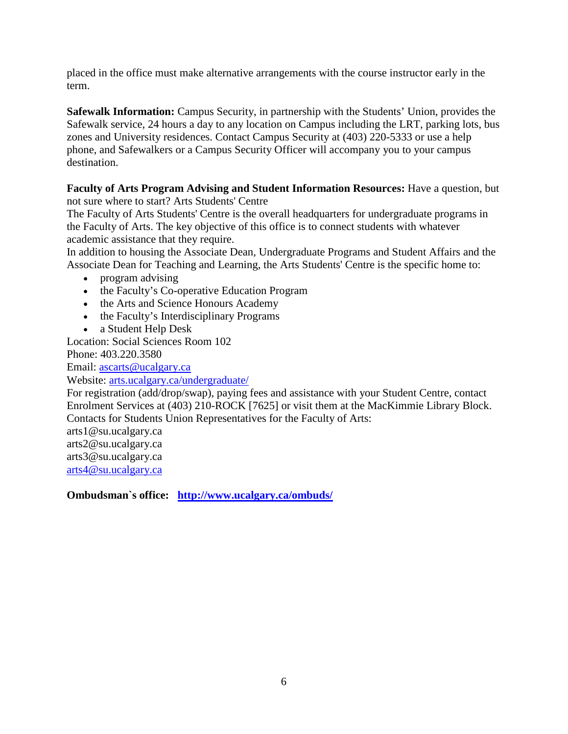placed in the office must make alternative arrangements with the course instructor early in the term.

**Safewalk Information:** Campus Security, in partnership with the Students' Union, provides the Safewalk service, 24 hours a day to any location on Campus including the LRT, parking lots, bus zones and University residences. Contact Campus Security at (403) 220-5333 or use a help phone, and Safewalkers or a Campus Security Officer will accompany you to your campus destination.

**Faculty of Arts Program Advising and Student Information Resources:** Have a question, but not sure where to start? Arts Students' Centre

The Faculty of Arts Students' Centre is the overall headquarters for undergraduate programs in the Faculty of Arts. The key objective of this office is to connect students with whatever academic assistance that they require.

In addition to housing the Associate Dean, Undergraduate Programs and Student Affairs and the Associate Dean for Teaching and Learning, the Arts Students' Centre is the specific home to:

- program advising
- the Faculty's Co-operative Education Program
- the Arts and Science Honours Academy
- the Faculty's Interdisciplinary Programs
- a Student Help Desk

Location: Social Sciences Room 102

Phone: 403.220.3580

Email: [ascarts@ucalgary.ca](http://ucalgary.ca/pubs/calendar/current/ascarts@ucalgary.ca)

Website: [arts.ucalgary.ca/undergraduate/](http://arts.ucalgary.ca/undergraduate/)

For registration (add/drop/swap), paying fees and assistance with your Student Centre, contact Enrolment Services at (403) 210-ROCK [7625] or visit them at the MacKimmie Library Block. Contacts for Students Union Representatives for the Faculty of Arts:

arts1@su.ucalgary.ca

arts2@su.ucalgary.ca

arts3@su.ucalgary.ca

[arts4@su.ucalgary.ca](mailto:arts4@su.ucalgary.ca)

**Ombudsman`s office: <http://www.ucalgary.ca/ombuds/>**